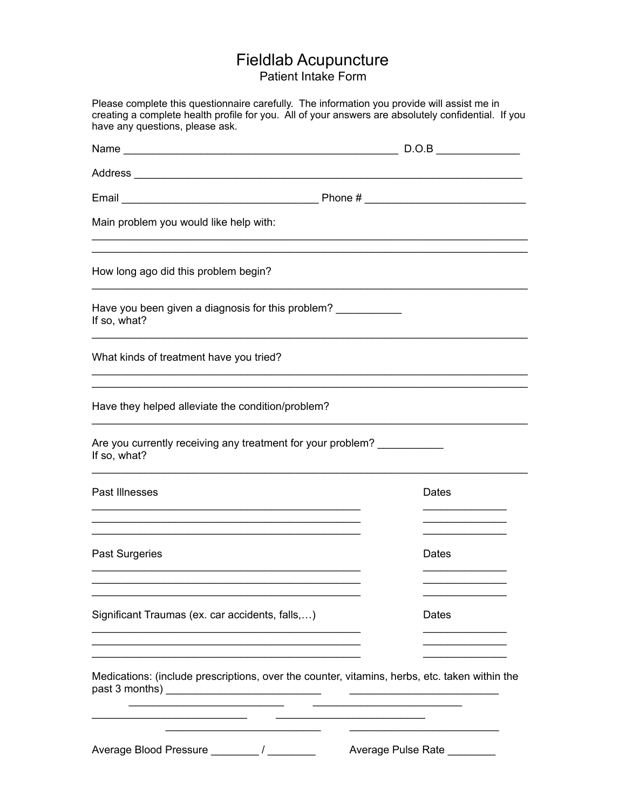## Fieldlab Acupuncture Patient Intake Form

| Please complete this questionnaire carefully. The information you provide will assist me in<br>creating a complete health profile for you. All of your answers are absolutely confidential. If you<br>have any questions, please ask. |                    |
|---------------------------------------------------------------------------------------------------------------------------------------------------------------------------------------------------------------------------------------|--------------------|
|                                                                                                                                                                                                                                       |                    |
|                                                                                                                                                                                                                                       |                    |
|                                                                                                                                                                                                                                       |                    |
| Main problem you would like help with:                                                                                                                                                                                                |                    |
| How long ago did this problem begin?                                                                                                                                                                                                  |                    |
| Have you been given a diagnosis for this problem?<br>If so, what?                                                                                                                                                                     |                    |
| What kinds of treatment have you tried?                                                                                                                                                                                               |                    |
| Have they helped alleviate the condition/problem?                                                                                                                                                                                     |                    |
| Are you currently receiving any treatment for your problem?<br>If so, what?                                                                                                                                                           |                    |
| Past Illnesses                                                                                                                                                                                                                        | Dates              |
| Past Surgeries                                                                                                                                                                                                                        | Dates              |
| Significant Traumas (ex. car accidents, falls,)                                                                                                                                                                                       | Dates              |
| Medications: (include prescriptions, over the counter, vitamins, herbs, etc. taken within the                                                                                                                                         |                    |
|                                                                                                                                                                                                                                       | Average Pulse Rate |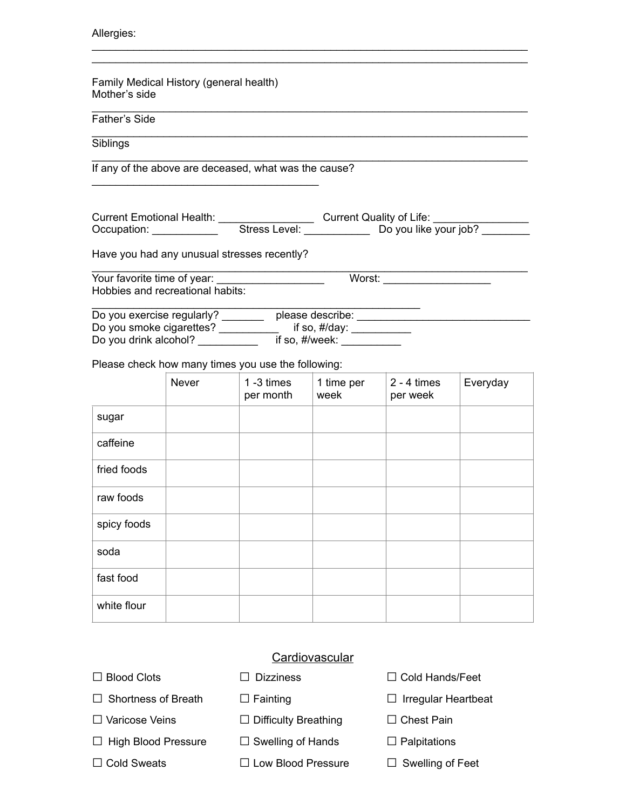#### Allergies:

Family Medical History (general health) Mother's side

### Father's Side

Siblings

If any of the above are deceased, what was the cause?

\_\_\_\_\_\_\_\_\_\_\_\_\_\_\_\_\_\_\_\_\_\_\_\_\_\_\_\_\_\_\_\_\_\_\_\_\_\_

| <b>Current Emotional Health:</b> |               | Current Quality of Life: |  |
|----------------------------------|---------------|--------------------------|--|
| Occupation:                      | Stress Level: | Do you like your job?    |  |

\_\_\_\_\_\_\_\_\_\_\_\_\_\_\_\_\_\_\_\_\_\_\_\_\_\_\_\_\_\_\_\_\_\_\_\_\_\_\_\_\_\_\_\_\_\_\_\_\_\_\_\_\_\_\_\_\_\_\_\_\_\_\_\_\_\_\_\_\_\_\_\_\_ \_\_\_\_\_\_\_\_\_\_\_\_\_\_\_\_\_\_\_\_\_\_\_\_\_\_\_\_\_\_\_\_\_\_\_\_\_\_\_\_\_\_\_\_\_\_\_\_\_\_\_\_\_\_\_\_\_\_\_\_\_\_\_\_\_\_\_\_\_\_\_\_\_

\_\_\_\_\_\_\_\_\_\_\_\_\_\_\_\_\_\_\_\_\_\_\_\_\_\_\_\_\_\_\_\_\_\_\_\_\_\_\_\_\_\_\_\_\_\_\_\_\_\_\_\_\_\_\_\_\_\_\_\_\_\_\_\_\_\_\_\_\_\_\_\_\_

\_\_\_\_\_\_\_\_\_\_\_\_\_\_\_\_\_\_\_\_\_\_\_\_\_\_\_\_\_\_\_\_\_\_\_\_\_\_\_\_\_\_\_\_\_\_\_\_\_\_\_\_\_\_\_\_\_\_\_\_\_\_\_\_\_\_\_\_\_\_\_\_\_

\_\_\_\_\_\_\_\_\_\_\_\_\_\_\_\_\_\_\_\_\_\_\_\_\_\_\_\_\_\_\_\_\_\_\_\_\_\_\_\_\_\_\_\_\_\_\_\_\_\_\_\_\_\_\_\_\_\_\_\_\_\_\_\_\_\_\_\_\_\_\_\_\_

Have you had any unusual stresses recently?

\_\_\_\_\_\_\_\_\_\_\_\_\_\_\_\_\_\_\_\_\_\_\_\_\_\_\_\_\_\_\_\_\_\_\_\_\_\_\_\_\_\_\_\_\_\_\_\_\_\_\_\_\_\_\_\_\_\_\_\_\_\_\_\_\_\_\_\_\_\_\_\_\_ Your favorite time of year: \_\_\_\_\_\_\_\_\_\_\_\_\_\_\_\_\_\_\_\_\_\_\_\_\_\_\_\_\_\_\_\_Worst: \_ Hobbies and recreational habits: \_\_\_\_\_\_\_\_\_\_\_\_\_\_\_\_\_\_\_\_\_\_\_\_\_\_\_\_\_\_\_\_\_\_\_\_\_\_\_\_\_\_\_\_\_\_\_\_\_\_\_\_\_\_\_

| Do you exercise regularly? | please describe:  |
|----------------------------|-------------------|
| Do you smoke cigarettes?   | if so, $\#$ /day: |
| Do you drink alcohol?      | if so, #/week:    |

Please check how many times you use the following:

|             | Never | $1 - 3$ times<br>per month | 1 time per<br>week | $2 - 4$ times<br>per week | Everyday |
|-------------|-------|----------------------------|--------------------|---------------------------|----------|
| sugar       |       |                            |                    |                           |          |
| caffeine    |       |                            |                    |                           |          |
| fried foods |       |                            |                    |                           |          |
| raw foods   |       |                            |                    |                           |          |
| spicy foods |       |                            |                    |                           |          |
| soda        |       |                            |                    |                           |          |
| fast food   |       |                            |                    |                           |          |
| white flour |       |                            |                    |                           |          |

#### **Cardiovascular**

- 
- 
- 
- □ High Blood Pressure □ Swelling of Hands □ Palpitations
- 
- 
- □ Varicose Veins □ Difficulty Breathing □ Chest Pain
	-
- □ Cold Sweats □ Low Blood Pressure □ Swelling of Feet
- □ Blood Clots □ Dizziness □ Cold Hands/Feet
- □ Shortness of Breath □ Fainting □ □ Irregular Heartbeat
	-
	-
	-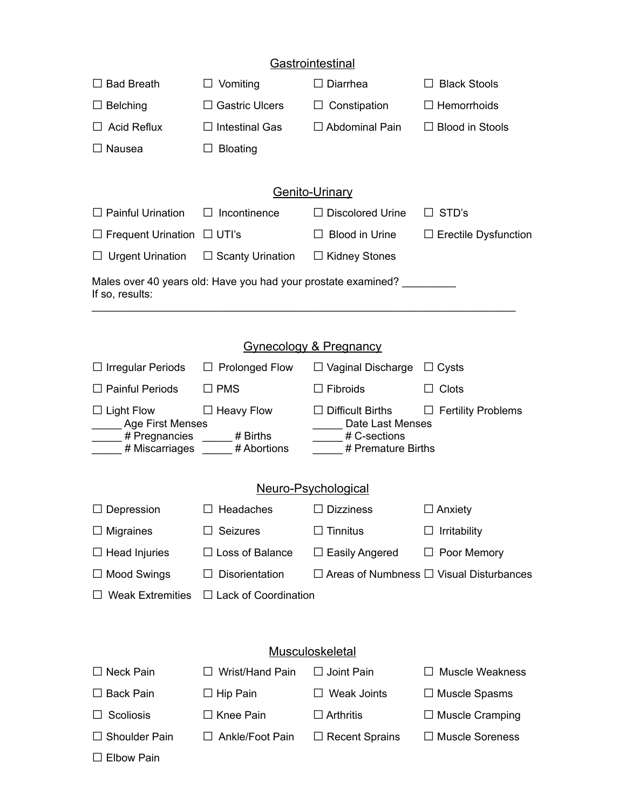## **Gastrointestinal**

| $\Box$ Bad Breath                                                                | Vomiting<br>ப           | Diarrhea                  | <b>Black Stools</b>         |  |  |
|----------------------------------------------------------------------------------|-------------------------|---------------------------|-----------------------------|--|--|
| $\Box$ Belching                                                                  | <b>Gastric Ulcers</b>   | Constipation<br>ப         | $\Box$ Hemorrhoids          |  |  |
| Acid Reflux                                                                      | $\Box$ Intestinal Gas   | $\Box$ Abdominal Pain     | <b>Blood in Stools</b>      |  |  |
| $\Box$ Nausea                                                                    | <b>Bloating</b>         |                           |                             |  |  |
|                                                                                  |                         |                           |                             |  |  |
|                                                                                  | <b>Genito-Urinary</b>   |                           |                             |  |  |
| $\Box$ Painful Urination                                                         | Incontinence<br>$\perp$ | <b>Discolored Urine</b>   | STD's                       |  |  |
| $\Box$ Frequent Urination $\Box$ UTI's                                           |                         | Blood in Urine            | $\Box$ Erectile Dysfunction |  |  |
| $\Box$ Urgent Urination                                                          | $\Box$ Scanty Urination | <b>Kidney Stones</b><br>⊔ |                             |  |  |
| Males over 40 years old: Have you had your prostate examined?<br>If so, results: |                         |                           |                             |  |  |

| <b>Gynecology &amp; Pregnancy</b>                                               |                                              |                                                                            |                                                     |  |
|---------------------------------------------------------------------------------|----------------------------------------------|----------------------------------------------------------------------------|-----------------------------------------------------|--|
| $\Box$ Irregular Periods                                                        | $\Box$ Prolonged Flow                        | $\Box$ Vaginal Discharge                                                   | $\Box$ Cysts                                        |  |
| $\Box$ Painful Periods                                                          | $\Box$ PMS                                   | <b>Fibroids</b>                                                            | Clots                                               |  |
| $\Box$ Light Flow<br><b>Age First Menses</b><br># Pregnancies<br># Miscarriages | $\Box$ Heavy Flow<br># Births<br># Abortions | Difficult Births<br>Date Last Menses<br># C-sections<br># Premature Births | <b>Fertility Problems</b>                           |  |
| <u>Neuro-Psychological</u>                                                      |                                              |                                                                            |                                                     |  |
| $\Box$ Depression                                                               | Headaches                                    | <b>Dizziness</b>                                                           | $\Box$ Anxiety                                      |  |
| $\Box$ Migraines                                                                | <b>Seizures</b>                              | $\Box$ Tinnitus                                                            | Irritability                                        |  |
| $\Box$ Head Injuries                                                            | $\Box$ Loss of Balance                       | Easily Angered                                                             | Poor Memory                                         |  |
| $\Box$ Mood Swings                                                              | <b>Disorientation</b>                        |                                                                            | $\Box$ Areas of Numbness $\Box$ Visual Disturbances |  |
| <b>Weak Extremities</b>                                                         | $\Box$ Lack of Coordination                  |                                                                            |                                                     |  |

## **Musculoskeletal**

| $\Box$ Neck Pain     | $\Box$ Wrist/Hand Pain | $\Box$ Joint Pain     | $\Box$ Muscle Weakness |
|----------------------|------------------------|-----------------------|------------------------|
| $\Box$ Back Pain     | $\Box$ Hip Pain        | <b>Weak Joints</b>    | $\Box$ Muscle Spasms   |
| $\Box$ Scoliosis     | $\Box$ Knee Pain       | $\Box$ Arthritis      | $\Box$ Muscle Cramping |
| $\Box$ Shoulder Pain | $\Box$ Ankle/Foot Pain | $\Box$ Recent Sprains | $\Box$ Muscle Soreness |
| $\Box$ Elbow Pain    |                        |                       |                        |